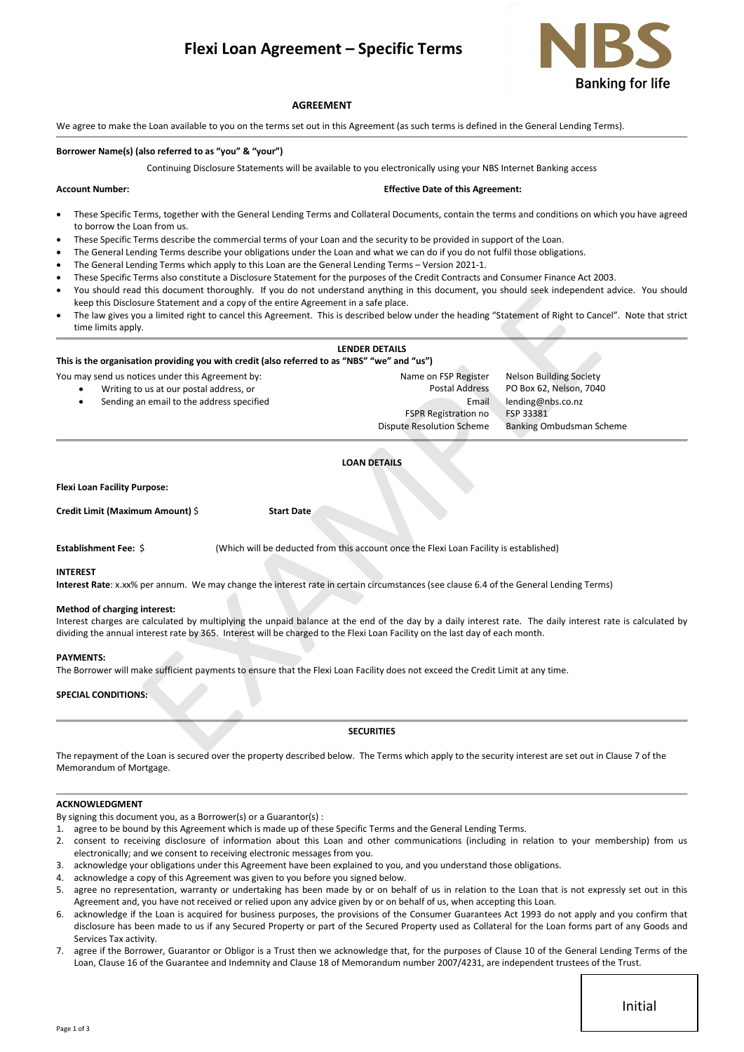# **Flexi Loan Agreement – Specific Terms**



# **AGREEMENT**

We agree to make the Loan available to you on the terms set out in this Agreement (as such terms is defined in the General Lending Terms).

# **Borrower Name(s) (also referred to as "you" & "your")**

Continuing Disclosure Statements will be available to you electronically using your NBS Internet Banking access

#### **Account Number: Effective Date of this Agreement:**

- These Specific Terms, together with the General Lending Terms and Collateral Documents, contain the terms and conditions on which you have agreed to borrow the Loan from us.
- These Specific Terms describe the commercial terms of your Loan and the security to be provided in support of the Loan.
- The General Lending Terms describe your obligations under the Loan and what we can do if you do not fulfil those obligations.
- The General Lending Terms which apply to this Loan are the General Lending Terms Version 2021-1.
- These Specific Terms also constitute a Disclosure Statement for the purposes of the Credit Contracts and Consumer Finance Act 2003.
- You should read this document thoroughly. If you do not understand anything in this document, you should seek independent advice. You should keep this Disclosure Statement and a copy of the entire Agreement in a safe place.
- The law gives you a limited right to cancel this Agreement. This is described below under the heading "Statement of Right to Cancel". Note that strict time limits apply. Not concernent and a copy of the entire Agreement In a sub-place.<br>
The statement and a copy of the entire Agreement In a sub-place.<br>
ILENDER DETAILS "CORE RESULTED SUB-PLACE IN A CORE CORE IN A CORE CORE INTERNATION CORE I

#### **LENDER DETAILS**

**This is the organisation providing you with credit (also referred to as "NBS" "we" and "us")**

You may send us notices under this Agreement by: Name on FSP Register Nelson Building Society

- 
- 

• Writing to us at our postal address, or Postal Address PO Box 62, Nelson, 7040 • Sending an email to the address specified Email lending@nbs.co.nz FSPR Registration no FSP 33381 Dispute Resolution Scheme Banking Ombudsman Scheme

# **LOAN DETAILS**

**Flexi Loan Facility Purpose:** 

**Credit Limit (Maximum Amount)** \$ **Start Date**

**Establishment Fee:** \$ (Which will be deducted from this account once the Flexi Loan Facility is established)

# **INTEREST**

**Interest Rate**: x.xx% per annum. We may change the interest rate in certain circumstances (see clause 6.4 of the General Lending Terms)

#### **Method of charging interest:**

Interest charges are calculated by multiplying the unpaid balance at the end of the day by a daily interest rate. The daily interest rate is calculated by dividing the annual interest rate by 365. Interest will be charged to the Flexi Loan Facility on the last day of each month.

#### **PAYMENTS:**

The Borrower will make sufficient payments to ensure that the Flexi Loan Facility does not exceed the Credit Limit at any time.

# **SPECIAL CONDITIONS:**

# **SECURITIES**

The repayment of the Loan is secured over the property described below. The Terms which apply to the security interest are set out in Clause 7 of the Memorandum of Mortgage.

# **ACKNOWLEDGMENT**

By signing this document you, as a Borrower(s) or a Guarantor(s) :

- 1. agree to be bound by this Agreement which is made up of these Specific Terms and the General Lending Terms.
- 2. consent to receiving disclosure of information about this Loan and other communications (including in relation to your membership) from us electronically; and we consent to receiving electronic messages from you.
- 3. acknowledge your obligations under this Agreement have been explained to you, and you understand those obligations.
- 4. acknowledge a copy of this Agreement was given to you before you signed below.
- agree no representation, warranty or undertaking has been made by or on behalf of us in relation to the Loan that is not expressly set out in this Agreement and, you have not received or relied upon any advice given by or on behalf of us, when accepting this Loan.
- 6. acknowledge if the Loan is acquired for business purposes, the provisions of the Consumer Guarantees Act 1993 do not apply and you confirm that disclosure has been made to us if any Secured Property or part of the Secured Property used as Collateral for the Loan forms part of any Goods and Services Tax activity.
- 7. agree if the Borrower, Guarantor or Obligor is a Trust then we acknowledge that, for the purposes of Clause 10 of the General Lending Terms of the Loan, Clause 16 of the Guarantee and Indemnity and Clause 18 of Memorandum number 2007/4231, are independent trustees of the Trust.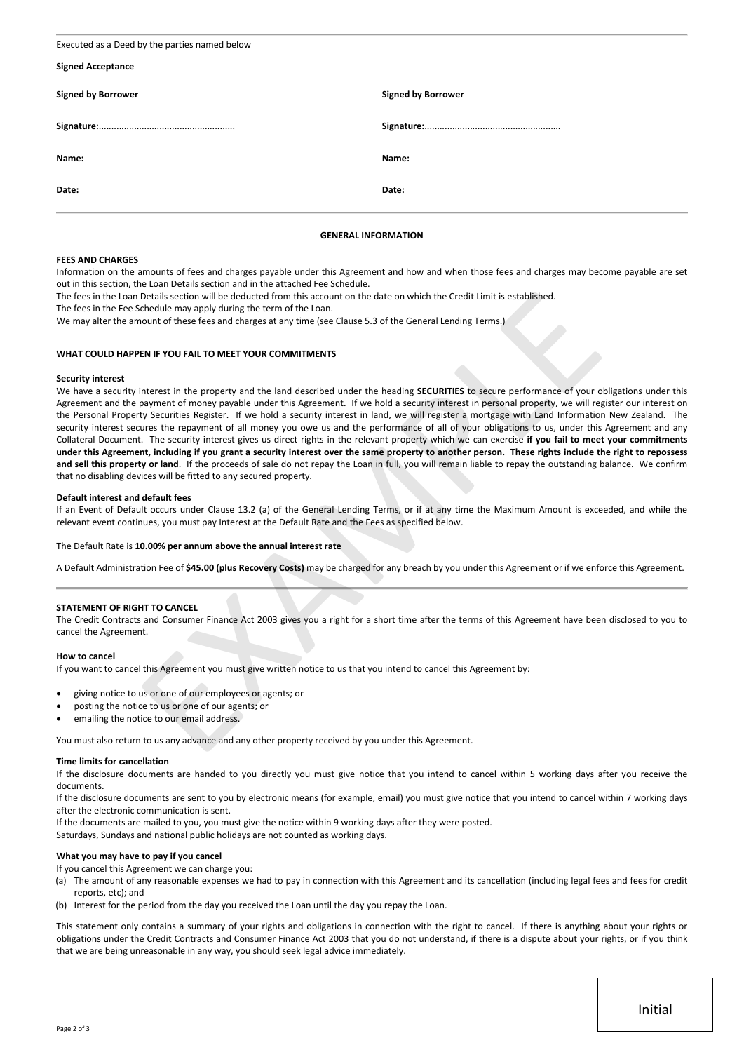| Executed as a Deed by the parties named below |                           |  |  |  |
|-----------------------------------------------|---------------------------|--|--|--|
| <b>Signed Acceptance</b>                      |                           |  |  |  |
| <b>Signed by Borrower</b>                     | <b>Signed by Borrower</b> |  |  |  |
|                                               |                           |  |  |  |
| Name:                                         | Name:                     |  |  |  |
| Date:                                         | Date:                     |  |  |  |

# **GENERAL INFORMATION**

#### **FEES AND CHARGES**

Information on the amounts of fees and charges payable under this Agreement and how and when those fees and charges may become payable are set out in this section, the Loan Details section and in the attached Fee Schedule.

The fees in the Loan Details section will be deducted from this account on the date on which the Credit Limit is established.

The fees in the Fee Schedule may apply during the term of the Loan.

We may alter the amount of these fees and charges at any time (see Clause 5.3 of the General Lending Terms.)

#### **WHAT COULD HAPPEN IF YOU FAIL TO MEET YOUR COMMITMENTS**

#### **Security interest**

We have a security interest in the property and the land described under the heading **SECURITIES** to secure performance of your obligations under this Agreement and the payment of money payable under this Agreement. If we hold a security interest in personal property, we will register our interest on the Personal Property Securities Register. If we hold a security interest in land, we will register a mortgage with Land Information New Zealand. The security interest secures the repayment of all money you owe us and the performance of all of your obligations to us, under this Agreement and any Collateral Document. The security interest gives us direct rights in the relevant property which we can exercise **if you fail to meet your commitments under this Agreement, including if you grant a security interest over the same property to another person. These rights include the right to repossess and sell this property or land**. If the proceeds of sale do not repay the Loan in full, you will remain liable to repay the outstanding balance. We confirm that no disabling devices will be fitted to any secured property. Details section will be electrical from this account on the date on which the Credit Limit is established.<br>Details section will be electrical from this account on the date on which the Credit Limit is established.<br>
Chould

#### **Default interest and default fees**

If an Event of Default occurs under Clause 13.2 (a) of the General Lending Terms, or if at any time the Maximum Amount is exceeded, and while the relevant event continues, you must pay Interest at the Default Rate and the Fees as specified below.

The Default Rate is **10.00% per annum above the annual interest rate**

A Default Administration Fee of **\$45.00 (plus Recovery Costs)** may be charged for any breach by you under this Agreement or if we enforce this Agreement.

# **STATEMENT OF RIGHT TO CANCEL**

The Credit Contracts and Consumer Finance Act 2003 gives you a right for a short time after the terms of this Agreement have been disclosed to you to cancel the Agreement.

#### **How to cancel**

If you want to cancel this Agreement you must give written notice to us that you intend to cancel this Agreement by:

- giving notice to us or one of our employees or agents; or
- posting the notice to us or one of our agents; or
- emailing the notice to our email address.

You must also return to us any advance and any other property received by you under this Agreement.

#### **Time limits for cancellation**

If the disclosure documents are handed to you directly you must give notice that you intend to cancel within 5 working days after you receive the documents.

If the disclosure documents are sent to you by electronic means (for example, email) you must give notice that you intend to cancel within 7 working days after the electronic communication is sent.

If the documents are mailed to you, you must give the notice within 9 working days after they were posted.

Saturdays, Sundays and national public holidays are not counted as working days.

# **What you may have to pay if you cancel**

If you cancel this Agreement we can charge you:

- (a) The amount of any reasonable expenses we had to pay in connection with this Agreement and its cancellation (including legal fees and fees for credit reports, etc); and
- (b) Interest for the period from the day you received the Loan until the day you repay the Loan.

This statement only contains a summary of your rights and obligations in connection with the right to cancel. If there is anything about your rights or obligations under the Credit Contracts and Consumer Finance Act 2003 that you do not understand, if there is a dispute about your rights, or if you think that we are being unreasonable in any way, you should seek legal advice immediately.